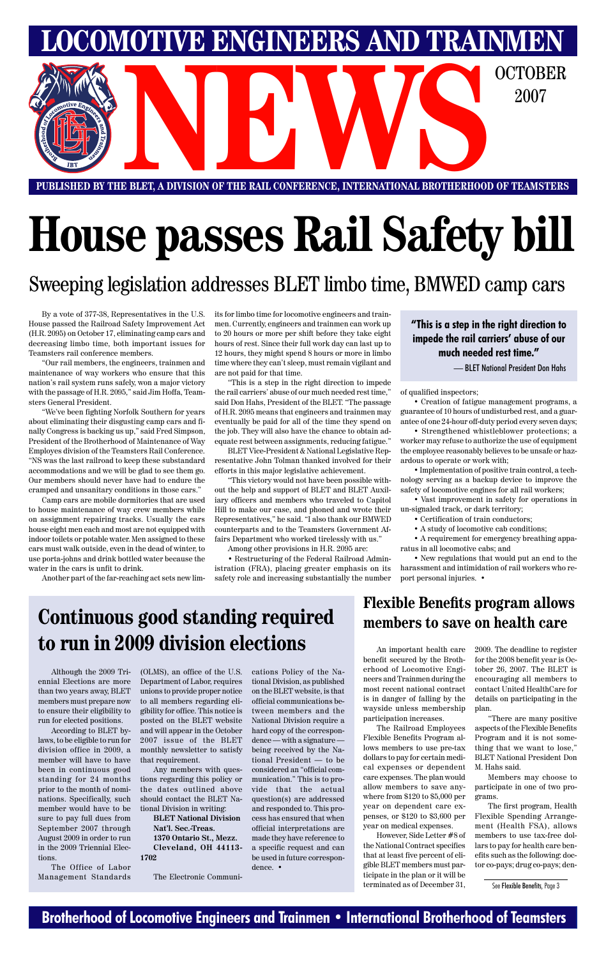### **Brotherhood of Locomotive Engineers and Trainmen • International Brotherhood of Teamsters**

**PUBLISHED BY THE BLET, A DIVISION OF THE RAIL CONFERENCE, INTERNATIONAL BROTHERHOOD OF TEAMSTERS** E BLET, A DIVISION OF THE RAIL CONFERENCE, INTERNATIONAL BROTHERHOOD OF TEAMSTERS

**LOMOTIVE ENGINEERS AND TRAINMEN** 

2007

# **House passes Rail Safety bill**

By a vote of 377-38, Representatives in the U.S. House passed the Railroad Safety Improvement Act (H.R. 2095) on October 17, eliminating camp cars and decreasing limbo time, both important issues for Teamsters rail conference members.

"Our rail members, the engineers, trainmen and maintenance of way workers who ensure that this nation's rail system runs safely, won a major victory with the passage of H.R. 2095," said Jim Hoffa, Teamsters General President.

"We've been fighting Norfolk Southern for years about eliminating their disgusting camp cars and finally Congress is backing us up," said Fred Simpson, President of the Brotherhood of Maintenance of Way Employes division of the Teamsters Rail Conference. "NS was the last railroad to keep these substandard accommodations and we will be glad to see them go. Our members should never have had to endure the cramped and unsanitary conditions in those cars."

Camp cars are mobile dormitories that are used to house maintenance of way crew members while on assignment repairing tracks. Usually the cars house eight men each and most are not equipped with indoor toilets or potable water. Men assigned to these cars must walk outside, even in the dead of winter, to use porta-johns and drink bottled water because the water in the cars is unfit to drink.

Another part of the far-reaching act sets new lim-

its for limbo time for locomotive engineers and trainmen. Currently, engineers and trainmen can work up to 20 hours or more per shift before they take eight hours of rest. Since their full work day can last up to 12 hours, they might spend 8 hours or more in limbo time where they can't sleep, must remain vigilant and are not paid for that time.

"This is a step in the right direction to impede the rail carriers' abuse of our much needed rest time," said Don Hahs, President of the BLET. "The passage of H.R. 2095 means that engineers and trainmen may eventually be paid for all of the time they spend on the job. They will also have the chance to obtain adequate rest between assignments, reducing fatigue."

BLET Vice-President & National Legislative Representative John Tolman thanked involved for their efforts in this major legislative achievement.

"This victory would not have been possible without the help and support of BLET and BLET Auxiliary officers and members who traveled to Capitol Hill to make our case, and phoned and wrote their Representatives," he said. "I also thank our BMWED counterparts and to the Teamsters Government Affairs Department who worked tirelessly with us."

Among other provisions in H.R. 2095 are:

• Restructuring of the Federal Railroad Administration (FRA), placing greater emphasis on its safety role and increasing substantially the number of qualified inspectors;

• Creation of fatigue management programs, a guarantee of 10 hours of undisturbed rest, and a guarantee of one 24-hour off-duty period every seven days;

• Strengthened whistleblower protections; a worker may refuse to authorize the use of equipment the employee reasonably believes to be unsafe or hazardous to operate or work with;

• Implementation of positive train control, a technology serving as a backup device to improve the safety of locomotive engines for all rail workers;

• Vast improvement in safety for operations in un-signaled track, or dark territory;

- Certification of train conductors;
- A study of locomotive cab conditions;

• A requirement for emergency breathing apparatus in all locomotive cabs; and

• New regulations that would put an end to the harassment and intimidation of rail workers who report personal injuries. •

### Sweeping legislation addresses BLET limbo time, BMWED camp cars

Although the 2009 Triennial Elections are more than two years away, BLET members must prepare now

to ensure their eligibility to run for elected positions.

According to BLET bylaws, to be eligible to run for division office in 2009, a member will have to have been in continuous good standing for 24 months prior to the month of nominations. Specifically, such member would have to be sure to pay full dues from September 2007 through August 2009 in order to run in the 2009 Triennial Elections.

The Office of Labor Management Standards

(OLMS), an office of the U.S. Department of Labor, requires unions to provide proper notice to all members regarding eli-official communications begibility for office. This notice is posted on the BLET website and will appear in the October 2007 issue of the BLET monthly newsletter to satisfy that requirement.

Any members with questions regarding this policy or the dates outlined above should contact the BLET National Division in writing:

> **BLET National Division Nat'l. Sec.-Treas. 1370 Ontario St., Mezz. Cleveland, OH 44113-**

#### **1702**

The Electronic Communi-

cations Policy of the National Division, as published on the BLET website, is that

tween members and the National Division require a hard copy of the correspondence — with a signature being received by the National President — to be considered an "official communication." This is to provide that the actual question(s) are addressed and responded to. This process has ensured that when official interpretations are made they have reference to a specific request and can be used in future correspondence. •

### **Continuous good standing required to run in 2009 division elections**

#### **"This is a step in the right direction to impede the rail carriers' abuse of our much needed rest time."**

— BLET National President Don Hahs

### **Flexible Benefits program allows members to save on health care**

An important health care benefit secured by the Brotherhood of Locomotive Engineers and Trainmen during the most recent national contract is in danger of falling by the

wayside unless membership participation increases.

The Railroad Employees Flexible Benefits Program allows members to use pre-tax dollars to pay for certain medical expenses or dependent care expenses. The plan would allow members to save anywhere from \$120 to \$5,000 per year on dependent care expenses, or \$120 to \$3,600 per year on medical expenses.

However, Side Letter #8 of the National Contract specifies that at least five percent of eligible BLET members must participate in the plan or it will be terminated as of December 31,

2009. The deadline to register for the 2008 benefit year is October 26, 2007. The BLET is encouraging all members to contact United HealthCare for details on participating in the

plan.

"There are many positive aspects of the Flexible Benefits Program and it is not something that we want to lose," BLET National President Don M. Hahs said.

Members may choose to participate in one of two programs.

The first program, Health Flexible Spending Arrangement (Health FSA), allows members to use tax-free dollars to pay for health care benefits such as the following: doctor co-pays; drug co-pays; den-

See Flexible Benefits, Page 3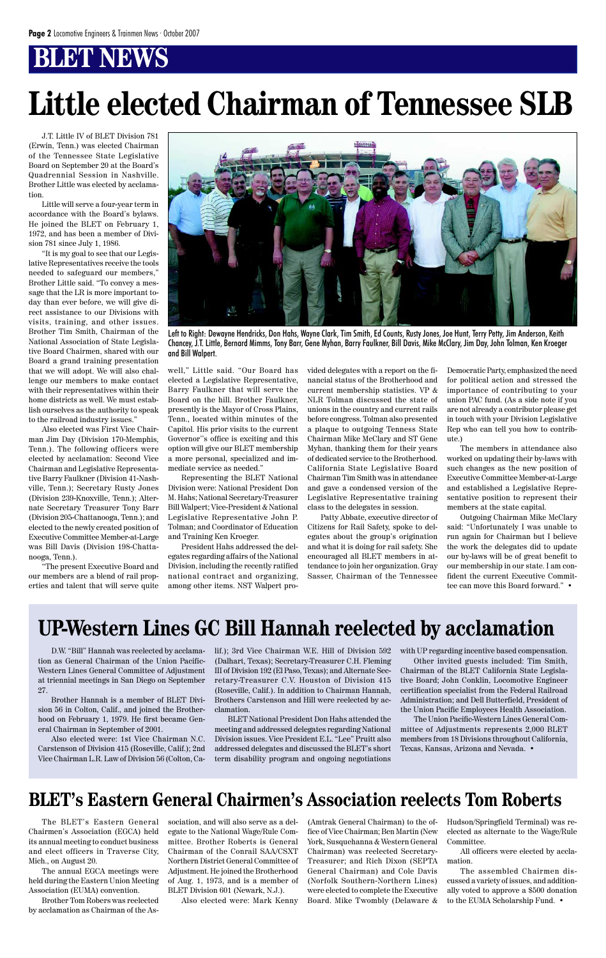J.T. Little IV of BLET Division 781 (Erwin, Tenn.) was elected Chairman of the Tennessee State Legislative Board on September 20 at the Board's Quadrennial Session in Nashville. Brother Little was elected by acclamation.

Little will serve a four-year term in accordance with the Board's bylaws. He joined the BLET on February 1, 1972, and has been a member of Division 781 since July 1, 1986.

"It is my goal to see that our Legislative Representatives receive the tools needed to safeguard our members," Brother Little said. "To convey a message that the LR is more important today than ever before, we will give direct assistance to our Divisions with visits, training, and other issues. Brother Tim Smith, Chairman of the National Association of State Legislative Board Chairmen, shared with our Board a grand training presentation that we will adopt. We will also challenge our members to make contact with their representatives within their home districts as well. We must establish ourselves as the authority to speak to the railroad industry issues."

Also elected was First Vice Chairman Jim Day (Division 170-Memphis, Tenn.). The following officers were elected by acclamation: Second Vice Chairman and Legislative Representative Barry Faulkner (Division 41-Nashville, Tenn.); Secretary Rusty Jones (Division 239-Knoxville, Tenn.); Alternate Secretary Treasurer Tony Barr (Division 205-Chattanooga, Tenn.); and elected to the newly created position of Executive Committee Member-at-Large was Bill Davis (Division 198-Chattanooga, Tenn.).

"The present Executive Board and our members are a blend of rail properties and talent that will serve quite well," Little said. "Our Board has elected a Legislative Representative, Barry Faulkner that will serve the Board on the hill. Brother Faulkner, presently is the Mayor of Cross Plains, Tenn., located within minutes of the Capitol. His prior visits to the current Governor''s office is exciting and this option will give our BLET membership a more personal, specialized and immediate service as needed."

Representing the BLET National Division were: National President Don M. Hahs; National Secretary-Treasurer Bill Walpert; Vice-President & National Legislative Representative John P. Tolman; and Coordinator of Education and Training Ken Kroeger.

President Hahs addressed the delegates regarding affairs of the National Division, including the recently ratified national contract and organizing, among other items. NST Walpert pro-

# **Little elected Chairman of Tennessee SLB**

vided delegates with a report on the financial status of the Brotherhood and current membership statistics. VP & NLR Tolman discussed the state of unions in the country and current rails before congress. Tolman also presented a plaque to outgoing Tenness State Chairman Mike McClary and ST Gene Myhan, thanking them for their years of dedicated service to the Brotherhood. California State Legislative Board Chairman Tim Smith was in attendance and gave a condensed version of the Legislative Representative training class to the delegates in session.

Patty Abbate, executive director of Citizens for Rail Safety, spoke to delegates about the group's origination and what it is doing for rail safety. She encouraged all BLET members in attendance to join her organization. Gray Sasser, Chairman of the Tennessee Democratic Party, emphasized the need for political action and stressed the importance of contributing to your union PAC fund. (As a side note if you are not already a contributor please get in touch with your Division Legislative Rep who can tell you how to contribute.)

The members in attendance also worked on updating their by-laws with such changes as the new position of Executive Committee Member-at-Large and established a Legislative Representative position to represent their members at the state capital.

Outgoing Chairman Mike McClary said: "Unfortunately I was unable to run again for Chairman but I believe the work the delegates did to update our by-laws will be of great benefit to our membership in our state. I am confident the current Executive Committee can move this Board forward." •



Left to Right: Dewayne Hendricks, Don Hahs, Wayne Clark, Tim Smith, Ed Counts, Rusty Jones, Joe Hunt, Terry Petty, Jim Anderson, Keith Chancey, J.T. Little, Bernard Mimms, Tony Barr, Gene Myhan, Barry Faulkner, Bill Davis, Mike McClary, Jim Day, John Tolman, Ken Kroeger and Bill Walpert.

D.W. "Bill" Hannah was reelected by acclamation as General Chairman of the Union Pacific-Western Lines General Committee of Adjustment at triennial meetings in San Diego on September 27.

Brother Hannah is a member of BLET Divi-

sion 56 in Colton, Calif., and joined the Brotherhood on February 1, 1979. He first became General Chairman in September of 2001.

Also elected were: 1st Vice Chairman N.C. Carstenson of Division 415 (Roseville, Calif.); 2nd Vice Chairman L.R. Law of Division 56 (Colton, Ca-

The BLET's Eastern General Chairmen's Association (EGCA) held its annual meeting to conduct business and elect officers in Traverse City, Mich., on August 20.

The annual EGCA meetings were held during the Eastern Union Meeting Association (EUMA) convention.

Brother Tom Robers was reelected by acclamation as Chairman of the As-

### **BLET's Eastern General Chairmen's Association reelects Tom Roberts**

### **UP-Western Lines GC Bill Hannah reelected by acclamation**

lif.); 3rd Vice Chairman W.E. Hill of Division 592 (Dalhart, Texas); Secretary-Treasurer C.H. Fleming III of Division 192 (El Paso, Texas); and Alternate Secretary-Treasurer C.V. Houston of Division 415 (Roseville, Calif.). In addition to Chairman Hannah, Brothers Carstenson and Hill were reelected by ac-

clamation.

BLET National President Don Hahs attended the meeting and addressed delegates regarding National Division issues. Vice President E.L. "Lee" Pruitt also addressed delegates and discussed the BLET's short term disability program and ongoing negotiations with UP regarding incentive based compensation.

Other invited guests included: Tim Smith, Chairman of the BLET California State Legislative Board; John Conklin, Locomotive Engineer certification specialist from the Federal Railroad Administration; and Dell Butterfield, President of

the Union Pacific Employees Health Association.

The Union Pacific-Western Lines General Committee of Adjustments represents 2,000 BLET members from 18 Divisions throughout California, Texas, Kansas, Arizona and Nevada. •

sociation, and will also serve as a delegate to the National Wage/Rule Committee. Brother Roberts is General Chairman of the Conrail SAA/CSXT Northern District General Committee of Adjustment. He joined the Brotherhood of Aug. 1, 1973, and is a member of BLET Division 601 (Newark, N.J.).

Also elected were: Mark Kenny

(Amtrak General Chairman) to the office of Vice Chairman; Ben Martin (New York, Susquehanna & Western General Chairman) was reelected Secretary-Treasurer; and Rich Dixon (SEPTA General Chairman) and Cole Davis (Norfolk Southern-Northern Lines) were elected to complete the Executive Board. Mike Twombly (Delaware &

Hudson/Springfield Terminal) was reelected as alternate to the Wage/Rule Committee.

All officers were elected by acclamation.

The assembled Chairmen discussed a variety of issues, and additionally voted to approve a \$500 donation to the EUMA Scholarship Fund. •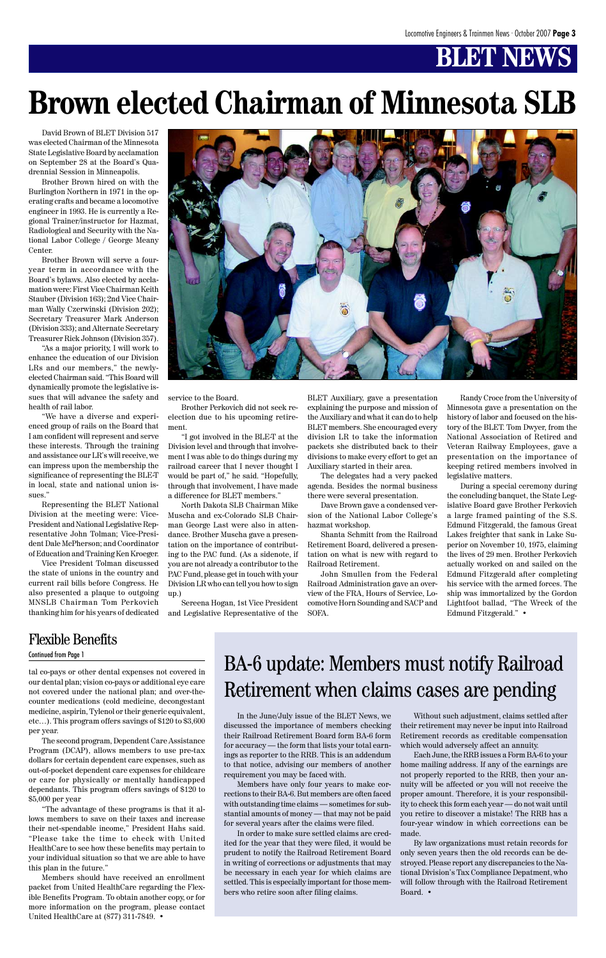tal co-pays or other dental expenses not covered in our dental plan; vision co-pays or additional eye care not covered under the national plan; and over-thecounter medications (cold medicine, decongestant medicine, aspirin, Tylenol or their generic equivalent, etc…). This program offers savings of \$120 to \$3,600 per year. The second program, Dependent Care Assistance Program (DCAP), allows members to use pre-tax dollars for certain dependent care expenses, such as out-of-pocket dependent care expenses for childcare or care for physically or mentally handicapped dependants. This program offers savings of \$120 to \$5,000 per year "The advantage of these programs is that it allows members to save on their taxes and increase their net-spendable income," President Hahs said. "Please take the time to check with United HealthCare to see how these benefits may pertain to your individual situation so that we are able to have this plan in the future."

Members should have received an enrollment packet from United HealthCare regarding the Flexible Benefits Program. To obtain another copy, or for more information on the program, please contact United HealthCare at (877) 311-7849. •

In the June/July issue of the BLET News, we discussed the importance of members checking their Railroad Retirement Board form BA-6 form for accuracy — the form that lists your total earnings as reporter to the RRB. This is an addendum to that notice, advising our members of another requirement you may be faced with.

Members have only four years to make corrections to their BA-6. But members are often faced with outstanding time claims — sometimes for substantial amounts of money — that may not be paid for several years after the claims were filed.

In order to make sure settled claims are credited for the year that they were filed, it would be prudent to notify the Railroad Retirement Board in writing of corrections or adjustments that may be necessary in each year for which claims are settled. This is especially important for those members who retire soon after filing claims.

BA-6 update: Members must notify Railroad Retirement when claims cases are pending

David Brown of BLET Division 517 was elected Chairman of the Minnesota State Legislative Board by acclamation on September 28 at the Board's Quadrennial Session in Minneapolis.

Brother Brown hired on with the Burlington Northern in 1971 in the operating crafts and became a locomotive engineer in 1993. He is currently a Regional Trainer/instructor for Hazmat, Radiological and Security with the National Labor College / George Meany Center.

Brother Brown will serve a fouryear term in accordance with the Board's bylaws. Also elected by acclamation were: First Vice Chairman Keith Stauber (Division 163); 2nd Vice Chairman Wally Czerwinski (Division 202); Secretary Treasurer Mark Anderson (Division 333); and Alternate Secretary Treasurer Rick Johnson (Division 357).

"As a major priority, I will work to enhance the education of our Division LRs and our members," the newlyelected Chairman said. "This Board will dynamically promote the legislative issues that will advance the safety and health of rail labor.

"We have a diverse and experienced group of rails on the Board that I am confident will represent and serve these interests. Through the training and assistance our LR's will receive, we can impress upon the membership the significance of representing the BLE-T in local, state and national union issues."

Representing the BLET National Division at the meeting were: Vice-President and National Legislative Representative John Tolman; Vice-President Dale McPherson; and Coordinator of Education and Training Ken Kroeger.

Vice President Tolman discussed the state of unions in the country and current rail bills before Congress. He also presented a plaque to outgoing MNSLB Chairman Tom Perkovich thanking him for his years of dedicated



service to the Board.

Brother Perkovich did not seek reelection due to his upcoming retirement.

"I got involved in the BLE-T at the Division level and through that involvement I was able to do things during my railroad career that I never thought I would be part of," he said. "Hopefully, through that involvement, I have made a difference for BLET members."

North Dakota SLB Chairman Mike Muscha and ex-Colorado SLB Chairman George Last were also in attendance. Brother Muscha gave a presentation on the importance of contributing to the PAC fund. (As a sidenote, if you are not already a contributor to the PAC Fund, please get in touch with your Division LR who can tell you how to sign up.)

Sereena Hogan, 1st Vice President and Legislative Representative of the BLET Auxiliary, gave a presentation explaining the purpose and mission of the Auxiliary and what it can do to help BLET members. She encouraged every division LR to take the information packets she distributed back to their divisions to make every effort to get an Auxiliary started in their area.

The delegates had a very packed agenda. Besides the normal business there were several presentation.

Dave Brown gave a condensed version of the National Labor College's hazmat workshop.

Shanta Schmitt from the Railroad Retirement Board, delivered a presentation on what is new with regard to Railroad Retirement.

John Smullen from the Federal Railroad Administration gave an overview of the FRA, Hours of Service, Locomotive Horn Sounding and SACP and SOFA.

# **Brown elected Chairman of Minnesota SLB**

Randy Croce from the University of Minnesota gave a presentation on the history of labor and focused on the history of the BLET. Tom Dwyer, from the National Association of Retired and Veteran Railway Employees, gave a presentation on the importance of keeping retired members involved in legislative matters.

During a special ceremony during the concluding banquet, the State Legislative Board gave Brother Perkovich a large framed painting of the S.S. Edmund Fitzgerald, the famous Great Lakes freighter that sank in Lake Superior on November 10, 1975, claiming the lives of 29 men. Brother Perkovich actually worked on and sailed on the Edmund Fitzgerald after completing his service with the armed forces. The ship was immortalized by the Gordon Lightfoot ballad, "The Wreck of the Edmund Fitzgerald." •

Without such adjustment, claims settled after their retirement may never be input into Railroad Retirement records as creditable compensation which would adversely affect an annuity.

Each June, the RRB issues a Form BA-6 to your home mailing address. If any of the earnings are not properly reported to the RRB, then your annuity will be affected or you will not receive the proper amount. Therefore, it is your responsibility to check this form each year — do not wait until you retire to discover a mistake! The RRB has a four-year window in which corrections can be made.

By law organizations must retain records for only seven years then the old records can be destroyed. Please report any discrepancies to the National Division's Tax Compliance Depatment, who will follow through with the Railroad Retirement Board. •

### Flexible Benefits

Continued from Page 1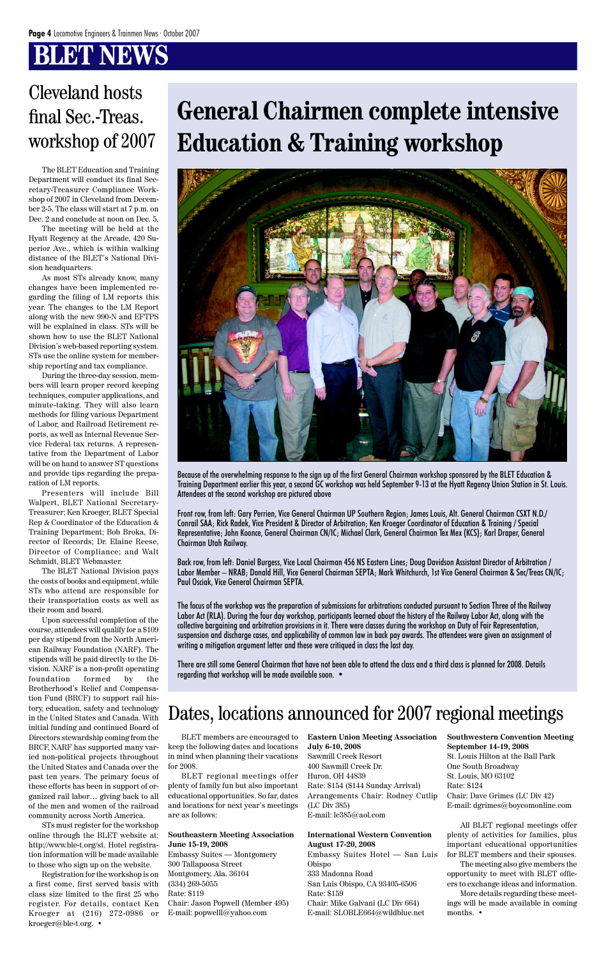## **BILNBWS**

# **General Chairmen complete intensive Education & Training workshop**



Because of the overwhelming response to the sign up of the first General Chairman workshop sponsored by the BLET Education & Training Department earlier this year, a second GC workshop was held September 9-13 at the Hyatt Regency Union Station in St. Louis. Attendees at the second workshop are pictured above

Front row, from left: Gary Perrien, Vice General Chairman UP Southern Region; James Louis, Alt. General Chairman CSXT N.D./ Conrail SAA; Rick Radek, Vice President & Director of Arbitration; Ken Kroeger Coordinator of Education & Training / Special Representative; John Koonce, General Chairman CN/IC; Michael Clark, General Chairman Tex Mex (KCS); Karl Draper, General Chairman Utah Railway.

Back row, from left: Daniel Burgess, Vice Local Chairman 456 NS Eastern Lines; Doug Davidson Assistant Director of Arbitration / Labor Member – NRAB; Donald Hill, Vice General Chairman SEPTA; Mark Whitchurch, 1st Vice General Chairman & Sec/Treas CN/IC; Paul Osciak, Vice General Chairman SEPTA.

The focus of the workshop was the preparation of submissions for arbitrations conducted pursuant to Section Three of the Railway Labor Act (RLA). During the four day workshop, participants learned about the history of the Railway Labor Act, along with the collective bargaining and arbitration provisions in it. There were classes during the workshop on Duty of Fair Representation, suspension and discharge cases, and applicability of common law in back pay awards. The attendees were given an assignment of writing a mitigation argument letter and these were critiqued in class the last day.

There are still some General Chairman that have not been able to attend the class and a third class is planned for 2008. Details regarding that workshop will be made available soon. •

The BLET Education and Training Department will conduct its final Secretary-Treasurer Compliance Workshop of 2007 in Cleveland from December 2-5. The class will start at 7 p.m. on Dec. 2 and conclude at noon on Dec. 5.

The meeting will be held at the Hyatt Regency at the Arcade, 420 Superior Ave., which is within walking distance of the BLET's National Division headquarters.

As most STs already know, many changes have been implemented regarding the filing of LM reports this year. The changes to the LM Report along with the new 990-N and EFTPS will be explained in class. STs will be shown how to use the BLET National Division's web-based reporting system. STs use the online system for membership reporting and tax compliance.

During the three-day session, members will learn proper record keeping techniques, computer applications, and minute-taking. They will also learn methods for filing various Department of Labor, and Railroad Retirement reports, as well as Internal Revenue Service Federal tax returns. A representative from the Department of Labor will be on hand to answer ST questions and provide tips regarding the preparation of LM reports.

Presenters will include Bill Walpert, BLET National Secretary-Treasurer; Ken Kroeger, BLET Special Rep & Coordinator of the Education & Training Department; Bob Broka, Director of Records; Dr. Elaine Reese, Director of Compliance; and Walt Schmidt, BLET Webmaster.

The BLET National Division pays the costs of books and equipment, while STs who attend are responsible for their transportation costs as well as their room and board.

Upon successful completion of the course, attendees will qualify for a \$109 per day stipend from the North American Railway Foundation (NARF). The stipends will be paid directly to the Division. NARF is a non-profit operating foundation formed by the Brotherhood's Relief and Compensation Fund (BRCF) to support rail history, education, safety and technology in the United States and Canada. With initial funding and continued Board of Directors stewardship coming from the BRCF, NARF has supported many varied non-political projects throughout the United States and Canada over the past ten years. The primary focus of these efforts has been in support of organized rail labor… giving back to all of the men and women of the railroad community across North America. STs must register for the workshop online through the BLET website at: http://www.ble-t.org/st. Hotel registration information will be made available to those who sign up on the website. Registration for the workshop is on a first come, first served basis with class size limited to the first 25 who register. For details, contact Ken Kroeger at (216) 272-0986 or kroeger@ble-t.org. •

### Cleveland hosts final Sec.-Treas. workshop of 2007

### Dates, locations announced for 2007 regional meetings

BLET members are encouraged to keep the following dates and locations in mind when planning their vacations for 2008.

BLET regional meetings offer plenty of family fun but also important educational opportunities. So far, dates and locations for next year's meetings are as follows:

#### **Southeastern Meeting Association June 15-19, 2008**

Embassy Suites — Montgomery 300 Tallapoosa Street Montgomery, Ala. 36104 (334) 269-5055

Rate: \$119

Chair: Jason Popwell (Member 495) E-mail: popwelll@yahoo.com

**Eastern Union Meeting Association July 6-10, 2008**

Sawmill Creek Resort 400 Sawmill Creek Dr. Huron, OH 44839 Rate: \$154 (\$144 Sunday Arrival) Arrangements Chair: Rodney Cutlip (LC Div 385) E-mail: lc385@aol.com

#### **International Western Convention August 17-20, 2008**

Embassy Suites Hotel — San Luis Obispo

333 Madonna Road

San Luis Obispo, CA 93405-6506 Rate: \$159

Chair: Mike Galvani (LC Div 664) E-mail: SLOBLE664@wildblue.net **Southwestern Convention Meeting September 14-19, 2008** St. Louis Hilton at the Ball Park One South Broadway St. Louis, MO 63102 Rate: \$124 Chair: Dave Grimes (LC Div 42) E-mail: dgrimes@boycomonline.com

All BLET regional meetings offer plenty of activities for families, plus important educational opportunities for BLET members and their spouses. The meeting also give members the opportunity to meet with BLET officers to exchange ideas and information. More details regarding these meet-

ings will be made available in coming months. •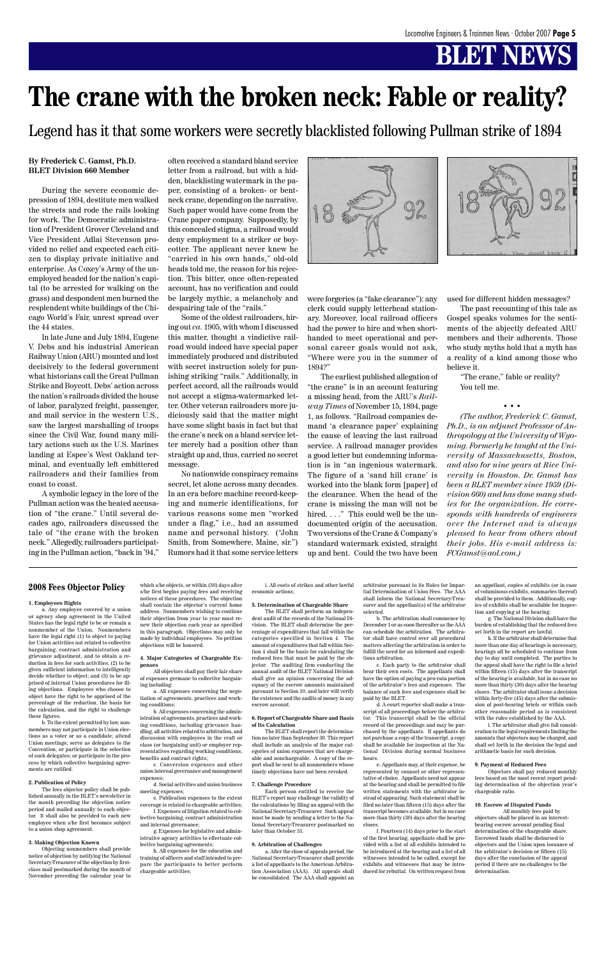#### **By Frederick C. Gamst, Ph.D. BLET Division 660 Member**

During the severe economic depression of 1894, destitute men walked the streets and rode the rails looking for work. The Democratic administration of President Grover Cleveland and Vice President Adlai Stevenson provided no relief and expected each citizen to display private initiative and enterprise. As Coxey's Army of the unemployed headed for the nation's capital (to be arrested for walking on the grass) and despondent men burned the resplendent white buildings of the Chicago World's Fair, unrest spread over the 44 states.

In late June and July 1894, Eugene V. Debs and his industrial American Railway Union (ARU) mounted and lost decisively to the federal government what historians call the Great Pullman Strike and Boycott. Debs' action across the nation's railroads divided the house of labor, paralyzed freight, passenger, and mail service in the western U.S., saw the largest marshalling of troops since the Civil War, found many military actions such as the U.S. Marines landing at Espee's West Oakland terminal, and eventually left embittered railroaders and their families from coast to coast.

A symbolic legacy in the lore of the Pullman action was the heated accusation of "the crane." Until several decades ago, railroaders discussed the tale of "the crane with the broken neck." Allegedly, railroaders participating in the Pullman action, "back in '94,"

often received a standard bland service letter from a railroad, but with a hidden, blacklisting watermark in the paper, consisting of a broken- or bentneck crane, depending on the narrative. Such paper would have come from the Crane paper company. Supposedly, by this concealed stigma, a railroad would deny employment to a striker or boycotter. The applicant never knew he "carried in his own hands," old-old heads told me, the reason for his rejection. This bitter, once often-repeated account, has no verification and could be largely mythic, a melancholy and despairing tale of the "rails."

Some of the oldest railroaders, hiring out *ca.* 1905, with whom I discussed this matter, thought a vindictive railroad would indeed have special paper immediately produced and distributed with secret instruction solely for punishing striking "rails." Additionally, in perfect accord, all the railroads would not accept a stigma-watermarked letter. Other veteran railroaders more judiciously said that the matter might have some slight basis in fact but that the crane's neck on a bland service letter merely had a position other than straight up and, thus, carried no secret message.

No nationwide conspiracy remains secret, let alone across many decades. In an era before machine record-keeping and numeric identifications, for various reasons some men "worked under a flag," i.e., had an assumed name and personal history. ("John Smith, from Somewhere, Maine, sir.") Rumors had it that some service letters





were forgeries (a "fake clearance"): any clerk could supply letterhead stationary. Moreover, local railroad officers had the power to hire and when shorthanded to meet operational and personal career goals would not ask, "Where were you in the summer of 1894?"

The earliest published allegation of "the crane" is in an account featuring a missing head, from the ARU's *Railway Times* of November 15, 1894, page 1, as follows. "Railroad companies demand 'a clearance paper' explaining the cause of leaving the last railroad service. A railroad manager provides a good letter but condemning information is in "an ingenious watermark. The figure of a 'sand hill crane' is worked into the blank form [paper] of the clearance. When the head of the crane is missing the man will not be hired. . . ." This could well be the undocumented origin of the accusation. Two versions of the Crane & Company's standard watermark existed, straight up and bent. Could the two have been used for different hidden messages?

The past recounting of this tale as Gospel speaks volumes for the sentiments of the abjectly defeated ARU members and their adherents. Those who study myths hold that a myth has a reality of a kind among those who believe it.

"The crane," fable or reality? You tell me.

• • •

*(The author, Frederick C. Gamst, Ph.D., is an adjunct Professor of Anthropology at the University of Wyoming. Formerly he taught at the University of Massachusetts, Boston, and also for nine years at Rice University in Houston. Dr. Gamst has been a BLET member since 1959 (Division 660) and has done many studies for the organization. He corresponds with hundreds of engineers over the Internet and is always pleased to hear from others about their jobs. His e-mail address is: FCGamst@aol.com.)*

# **The crane with the broken neck: Fable or reality?**

Legend has it that some workers were secretly blacklisted following Pullman strike of 1894

#### **2008 Fees Objector Policy**

#### **1. Employees Rights**

a. Any employee covered by a union or agency shop agreement in the United States has the legal right to be or remain a nonmember of the Union. Nonmembers have the legal right (1) to object to paying for Union activities not related to collective bargaining, contract administration and grievance adjustment, and to obtain a reduction in fees for such activities; (2) to be given sufficient information to intelligently decide whether to object; and (3) to be apprised of internal Union procedures for filing objections. Employees who choose to object have the right to be apprised of the percentage of the reduction, the basis for

the calculation, and the right to challenge these figures.

b. To the extent permitted by law, nonmembers may not participate in Union elections as a voter or as a candidate; attend Union meetings; serve as delegates to the Convention, or participate in the selection of such delegates; or participate in the process by which collective bargaining agreements are ratified.

#### **2. Publication of Policy**

The fees objector policy shall be published annually in the BLET's newsletter in the month preceding the objection notice period and mailed annually to each objector. It shall also be provided to each new employee when s/he first becomes subject to a union shop agreement.

#### **3. Making Objection Known**

Objecting nonmembers shall provide notice of objection by notifying the National Secretary-Treasurer of the objection by firstclass mail postmarked during the month of November preceding the calendar year to

which s/he objects, or within (30) days after s/he first begins paying fees and receiving notices of these procedures. The objection shall contain the objector's current home address. Nonmembers wishing to continue their objection from year to year must renew their objection each year as specified in this paragraph. Objections may only be made by individual employees. No petition objections will be honored.

#### **4. Major Categories of Chargeable Expenses** All objectors shall pay their fair share

of expenses germane to collective bargaining including: a. All expenses concerning the negotiation of agreements, practices and work-

ing conditions;

b. All expenses concerning the administration of agreements, practices and working conditions, including grievance handling, all activities related to arbitration, and discussion with employees in the craft or class (or bargaining unit) or employer representatives regarding working conditions, benefits and contract rights;

c. Conversion expenses and other union internal governance and management expenses;

d. Social activities and union business meeting expenses;

e. Publication expenses to the extent coverage is related to chargeable activities;

f. Expenses of litigation related to collective bargaining, contract administration and internal governance;

g. Expenses for legislative and administrative agency activities to effectuate collective bargaining agreements;

h. All expenses for the education and training of officers and staff intended to prepare the participants to better perform chargeable activities;

i. All costs of strikes and other lawful economic actions;

#### **5. Determination of Chargeable Share**

The BLET shall perform an independent audit of the records of the National Division. The BLET shall determine the percentage of expenditures that fall within the categories specified in Section 4. The amount of expenditures that fall within Section 4 shall be the basis for calculating the reduced fees that must be paid by the objector. The auditing firm conducting the annual audit of the BLET National Division shall give an opinion concerning the adequacy of the escrow amounts maintained pursuant to Section 10, and later will verify the existence and the audits of money in any

escrow account.

#### **6. Report of Chargeable Share and Basis of Its Calculation**

The BLET shall report the determination no later than September 30. This report shall include an analysis of the major categories of union expenses that are chargeable and nonchargeable. A copy of the report shall be sent to all nonmembers whose timely objections have not been revoked.

#### **7. Challenge Procedure**

Each person entitled to receive the BLET's report may challenge the validity of the calculations by filing an appeal with the National Secretary-Treasurer. Such appeal must be made by sending a letter to the National Secretary-Treasurer postmarked no later than October 31.

#### **8. Arbitration of Challenges**

a. After the close of appeals period, the National Secretary-Treasurer shall provide a list of appellants to the American Arbitration Association (AAA). All appeals shall be consolidated. The AAA shall appoint an

arbitrator pursuant to its Rules for Impartial Determination of Union Fees. The AAA shall inform the National Secretary-Treasurer and the appellant(s) of the arbitrator selected.

b. The arbitration shall commence by December 1 or as soon thereafter as the AAA can schedule the arbitration. The arbitrator shall have control over all procedural matters affecting the arbitration in order to fulfill the need for an informed and expeditious arbitration.

c. Each party to the arbitrator shall bear their own costs. The appellants shall have the option of paying a pro-rata portion of the arbitrator's fees and expenses. The balance of such fees and expenses shall be paid by the BLET.

d. A court reporter shall make a transcript of all proceedings before the arbitrator. This transcript shall be the official record of the proceedings and may be purchased by the appellants. If appellants do not purchase a copy of the transcript, a copy shall be available for inspection at the National Division during normal business hours. e. Appellants may, at their expense, be represented by counsel or other representative of choice. Appellants need not annear at the hearing and shall be permitted to file written statements with the arbitrator instead of appearing. Such statement shall be filed no later than fifteen (15) days after the transcript becomes available, but in no case more than thirty (30) days after the hearing closes.

f. Fourteen (14) days prior to the start of the first hearing, appellants shall be provided with a list of all exhibits intended to be introduced at the hearing and a list of all witnesses intended to be called, except for exhibits and witnesses that may be introduced for rebuttal. On written request from an appellant, copies of exhibits (or in case of voluminous exhibits, summaries thereof) shall be provided to them. Additionally, copies of exhibits shall be available for inspection and copying at the hearing.

g. The National Division shall have the burden of establishing that the reduced fees set forth in the report are lawful.

h. If the arbitrator shall determine that more than one day of hearings is necessary, hearings all be scheduled to continue from day to day until completed. The parties to the appeal shall have the right to file a brief within fifteen (15) days after the transcript of the hearing is available, but in no case no more than thirty (30) days after the hearing closes. The arbitrator shall issue a decision within forty-five (45) days after the submission of post-hearing briefs or within such other reasonable period as is consistent with the rules established by the AAA.

i. The arbitrator shall give full consideration to the legal requirements limiting the amounts that objectors may be charged, and shall set forth in the decision the legal and arithmetic basis for such decision.

#### **9. Payment of Reduced Fees**

Objectors shall pay reduced monthly fees based on the most recent report pending determination of the objection year's chargeable ratio.

#### **10. Escrow of Disputed Funds**

All monthly fees paid by objectors shall be placed in an interestbearing escrow account pending final determination of the chargeable share. Escrowed funds shall be disbursed to objectors and the Union upon issuance of the arbitrator's decision or fifteen (15) days after the conclusion of the appeal period if there are no challenges to the determination.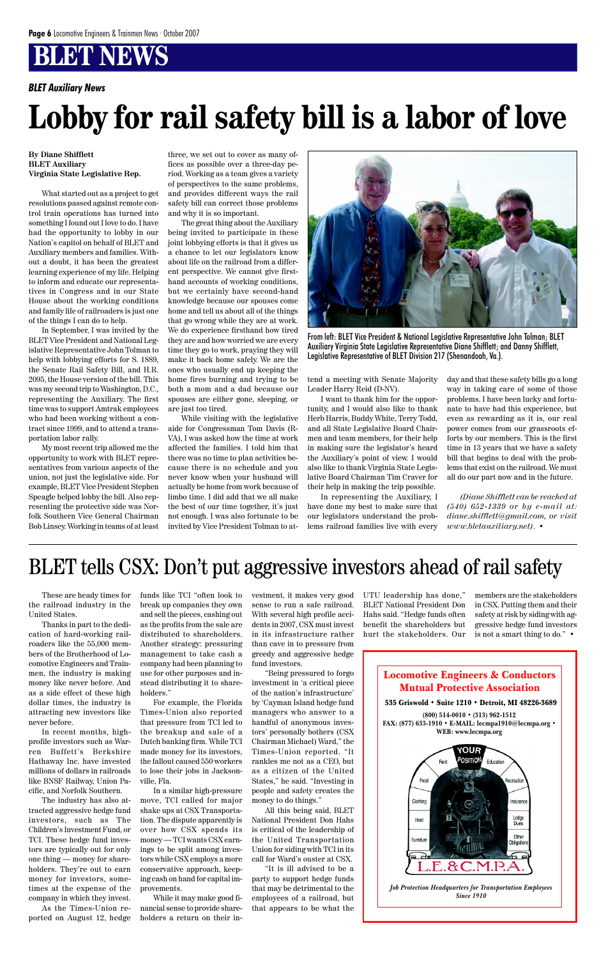Locomotive Engineers & Conductors Mutual Protective Association



**By Diane Shifflett BLET Auxiliary Virginia State Legislative Rep.**

What started out as a project to get resolutions passed against remote control train operations has turned into something I found out I love to do. I have had the opportunity to lobby in our Nation's capitol on behalf of BLET and Auxiliary members and families. Without a doubt, it has been the greatest learning experience of my life. Helping to inform and educate our representatives in Congress and in our State House about the working conditions and family life of railroaders is just one of the things I can do to help.

In September, I was invited by the BLET Vice President and National Legislative Representative John Tolman to help with lobbying efforts for S. 1889, the Senate Rail Safety Bill, and H.R. 2095, the House version of the bill. This was my second trip to Washington, D.C., representing the Auxiliary. The first time was to support Amtrak employees who had been working without a contract since 1999, and to attend a transportation labor rally.

My most recent trip allowed me the opportunity to work with BLET representatives from various aspects of the union, not just the legislative side. For example, BLET Vice President Stephen Speagle helped lobby the bill. Also representing the protective side was Norfolk Southern Vice General Chairman Bob Linsey. Working in teams of at least three, we set out to cover as many offices as possible over a three-day period. Working as a team gives a variety of perspectives to the same problems, and provides different ways the rail safety bill can correct those problems and why it is so important.

The great thing about the Auxiliary being invited to participate in these joint lobbying efforts is that it gives us a chance to let our legislators know about life on the railroad from a different perspective. We cannot give firsthand accounts of working conditions, but we certainly have second-hand knowledge because our spouses come home and tell us about all of the things that go wrong while they are at work. We do experience firsthand how tired they are and how worried we are every time they go to work, praying they will make it back home safely. We are the ones who usually end up keeping the home fires burning and trying to be both a mom and a dad because our spouses are either gone, sleeping, or are just too tired.

While visiting with the legislative aide for Congressman Tom Davis (R-VA), I was asked how the time at work affected the families. I told him that there was no time to plan activities because there is no schedule and you never know when your husband will actually be home from work because of limbo time. I did add that we all make the best of our time together, it's just not enough. I was also fortunate to be invited by Vice President Tolman to attend a meeting with Senate Majority Leader Harry Reid (D-NV).

I want to thank him for the opportunity, and I would also like to thank Herb Harris, Buddy White, Terry Todd, and all State Legislative Board Chairmen and team members, for their help in making sure the legislator's heard the Auxiliary's point of view. I would also like to thank Virginia State Legislative Board Chairman Tim Craver for their help in making the trip possible.

In representing the Auxiliary, I have done my best to make sure that our legislators understand the problems railroad families live with every

day and that these safety bills go a long way in taking care of some of those problems. I have been lucky and fortunate to have had this experience, but even as rewarding as it is, our real power comes from our grassroots efforts by our members. This is the first time in 13 years that we have a safety bill that begins to deal with the problems that exist on the railroad. We must all do our part now and in the future.

*(Diane Shifflett can be reached at (540) 652-1339 or by e-mail at: diane.shifflett@gmail.com, or visit www.bletauxiliary.net)*. •



From left: BLET Vice President & National Legislative Representative John Tolman; BLET Auxiliary Virginia State Legislative Representative Diane Shifflett; and Danny Shifflett, Legislative Representative of BLET Division 217 (Shenandoah, Va.).

# **Lobby for rail safety bill is a labor of love**

*BLET Auxiliary News*

These are heady times for the railroad industry in the United States.

Thanks in part to the dedication of hard-working railroaders like the 55,000 members of the Brotherhood of Locomotive Engineers and Trainmen, the industry is making money like never before. And as a side effect of these high dollar times, the industry is

attracting new investors like never before.

In recent months, highprofile investors such as Warren Buffett's Berkshire Hathaway Inc. have invested millions of dollars in railroads like BNSF Railway, Union Pacific, and Norfolk Southern.

The industry has also attracted aggressive hedge fund investors, such as The Children's Investment Fund, or TCI. These hedge fund investors are typically out for only one thing — money for shareholders. They're out to earn money for investors, sometimes at the expense of the company in which they invest.

As the Times-Union reported on August 12, hedge funds like TCI "often look to break up companies they own and sell the pieces, cashing out as the profits from the sale are distributed to shareholders. Another strategy: pressuring management to take cash a company had been planning to use for other purposes and instead distributing it to shareholders."

For example, the Florida Times-Union also reported that pressure from TCI led to the breakup and sale of a Dutch banking firm. While TCI made money for its investors, the fallout caused 550 workers to lose their jobs in Jacksonville, Fla. In a similar high-pressure move, TCI called for major shake ups at CSX Transportation. The dispute apparently is over how CSX spends its money — TCI wants CSX earnings to be split among investors while CSX employs a more conservative approach, keeping cash on hand for capital improvements.

While it may make good financial sense to provide shareholders a return on their investment, it makes very good sense to run a safe railroad. With several high profile accidents in 2007, CSX must invest in its infrastructure rather than cave in to pressure from greedy and aggressive hedge fund investors.

"Being pressured to forgo investment in 'a critical piece of the nation's infrastructure' by 'Cayman Island hedge fund managers who answer to a handful of anonymous investors' personally bothers (CSX Chairman Michael) Ward," the Times-Union reported. "It rankles me not as a CEO, but as a citizen of the United States," he said. "Investing in people and safety creates the money to do things." All this being said, BLET National President Don Hahs is critical of the leadership of the United Transportation Union for siding with TCI in its call for Ward's ouster at CSX.

"It is ill advised to be a party to support hedge funds that may be detrimental to the employees of a railroad, but that appears to be what the UTU leadership has done," BLET National President Don Hahs said. "Hedge funds often benefit the shareholders but hurt the stakeholders. Our

members are the stakeholders in CSX. Putting them and their safety at risk by siding with aggressive hedge fund investors is not a smart thing to do." •

### BLET tells CSX: Don't put aggressive investors ahead of rail safety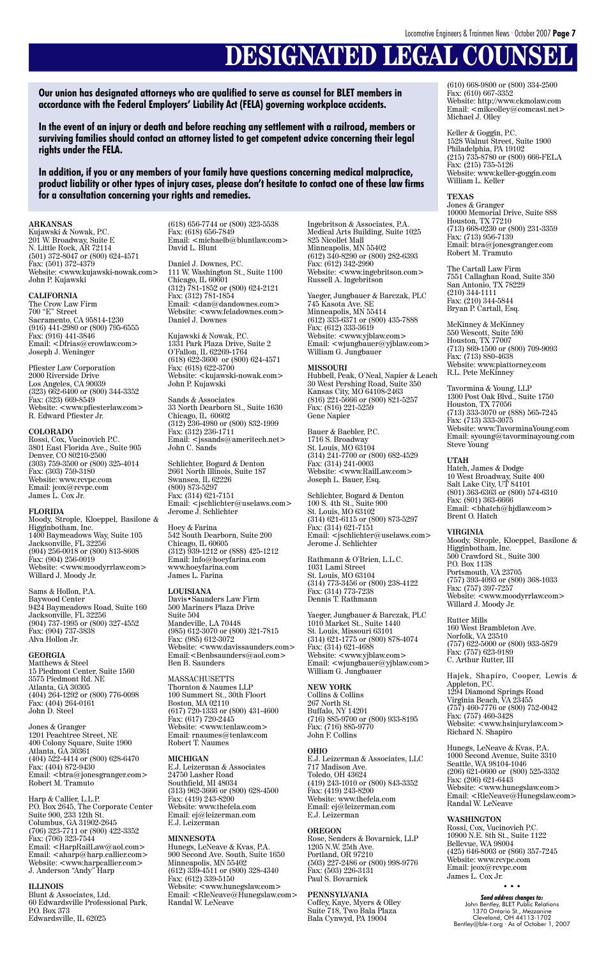# **DESIGNATED LEGAL COUNSEL**

**Our union has designated attorneys who are qualified to serve as counsel for BLET members in accordance with the Federal Employers' Liability Act (FELA) governing workplace accidents.**

**In the event of an injury or death and before reaching any settlement with a railroad, members or surviving families should contact an attorney listed to get competent advice concerning their legal rights under the FELA.**

**In addition, if you or any members of your family have questions concerning medical malpractice, product liability or other types of injury cases, please don't hesitate to contact one of these law firms for a consultation concerning your rights and remedies.**

#### **ARKANSAS**

Kujawski & Nowak, P.C. 201 W. Broadway, Suite E N. Little Rock, AR 72114 (501) 372-8047 or (800) 624-4571 Fax: (501) 372-4379 Website: <www.kujawski-nowak.com> John P. Kujawski

#### **CALIFORNIA**

The Crow Law Firm 700 "E" Street Sacramento, CA 95814-1230 (916) 441-2980 or (800) 795-6555 Fax: (916) 441-3846 Email: <Dfrias@crowlaw.com> Joseph J. Weninger

Pfiester Law Corporation 2000 Riverside Drive Los Angeles, CA 90039 (323) 662-6400 or (800) 344-3352 Fax: (323) 669-8549 Website: <www.pfiesterlaw.com> R. Edward Pfiester Jr.

#### **COLORADO**

Rossi, Cox, Vucinovich P.C. 3801 East Florida Ave., Suite 905 Denver, CO 80210-2500 (303) 759-3500 or (800) 325-4014 Fax: (303) 759-3180 Website: www.rcvpc.com Email: jcox@rcvpc.com James L. Cox Jr.

#### **FLORIDA**

Moody, Strople, Kloeppel, Basilone & Higginbotham, Inc. 1400 Baymeadows Way, Suite 105 Jacksonville, FL 32256 (904) 256-0018 or (800) 813-8608 Fax: (904) 256-0019 Website: <www.moodyrrlaw.com> Willard J. Moody Jr.

Sams & Hollon, P.A. Baywood Center 9424 Baymeadows Road, Suite 160 Jacksonville, FL 32256 (904) 737-1995 or (800) 327-4552 Fax: (904) 737-3838 Alva Hollon Jr.

#### **GEORGIA**

Matthews & Steel 15 Piedmont Center, Suite 1560 3575 Piedmont Rd. NE Atlanta, GA 30305 (404) 264-1292 or (800) 776-0098 Fax: (404) 264-0161 John D. Steel

Jones & Granger 1201 Peachtree Street, NE 400 Colony Square, Suite 1900 Atlanta, GA 30361 (404) 522-4414 or (800) 628-6470 Fax: (404) 872-9430 Email: <btra@jonesgranger.com> Robert M. Tramuto

Harp & Callier, L.L.P. P.O. Box 2645, The Corporate Center Suite 900, 233 12th St. Columbus, GA 31902-2645 (706) 323-7711 or (800) 422-3352  $\hat{F}ax'$  (706) 323-7544 Email: <HarpRailLaw@aol.com> Email:  $\langle \text{aharp@harp.} \text{callier.com} \rangle$ Website: <www.harpcallier.com> J. Anderson "Andy" Harp

#### **ILLINOIS**

Blunt & Associates, Ltd. 60 Edwardsville Professional Park, P.O. Box 373 Edwardsville, IL 62025

(618) 656-7744 or (800) 323-5538 Fax: (618) 656-7849 Email: <michaelb@bluntlaw.com> David L. Blunt

Daniel J. Downes, P.C. 111 W. Washington St., Suite 1100 Chicago, IL 60601 (312) 781-1852 or (800) 624-2121 Fax: (312) 781-1854 Email: <dan@dandownes.com> Website: <www.feladownes.com> Daniel J. Downes

Kujawski & Nowak, P.C. 1331 Park Plaza Drive, Suite 2 O'Fallon, IL 62269-1764 (618) 622-3600 or (800) 624-4571 Fax: (618) 622-3700 Website: <kujawski-nowak.com> John P. Kujawski

Sands & Associates 33 North Dearborn St., Suite 1630 Chicago, IL 60602 (312) 236-4980 or (800) 832-1999 Fax: (312) 236-1711 Email: <jssands@ameritech.net> John C. Sands

Schlichter, Bogard & Denton 2661 North Illinois, Suite 187 Swansea, IL 62226 (800) 873-5297 Fax: (314) 621-7151 Email: <jschlichter@uselaws.com> Jerome J. Schlichter

Hoey & Farina 542 South Dearborn, Suite 200 Chicago, IL 60605 (312) 939-1212 or (888) 425-1212 Email: Info@hoeyfarina.com www.hoeyfarina.com James L. Farina

**LOUISIANA** Davis•Saunders Law Firm 500 Mariners Plaza Drive Suite 504 Mandeville, LA 70448 (985) 612-3070 or (800) 321-7815 Fax: (985) 612-3072 Website: <www.davissaunders.com> Email:<Benbsaunders@aol.com> Ben B. Saunders

MASSACHUSETTS Thornton & Naumes LLP 100 Summert St., 30th Floort Boston, MA 0211 (617) 720-1333 or (800) 431-4600 Fax: (617) 720-2445 Website: <www.tenlaw.com> Email: rnaumes@tenlaw.com Robert T. Naumes

#### **MICHIGAN**

E.J. Leizerman & Associates 24750 Lasher Road Southfield, MI 48034 (313) 962-3666 or (800) 628-4500 Fax: (419) 243-8200 Website: www.thefela.com Email: ej@leizerman.com E.J. Leizerman

#### **MINNESOTA**

John Bentley, BLET Public Relations 1370 Ontario St., Mezzanine Cleveland, OH 44113-1702 Bentley@ble-t.org · As of October 1, 2007

Hunegs, LeNeave & Kvas, P.A. 900 Second Ave. South, Suite 1650 Minneapolis, MN 55402 (612) 339-4511 or (800) 328-4340  $\text{Faxi}$  (612) 339-5150 Website: <www.hunegslaw.com> Email: <RleNeave@Hunegslaw.com> Randal W. LeNeave

Ingebritson & Associates, P.A. Medical Arts Building, Suite 1025 825 Nicollet Mall Minneapolis, MN 55402 (612) 340-8290 or (800) 282-6393 Fax: (612) 342-2990 Website: <www.ingebritson.com> Russell A. Ingebritson

Yaeger, Jungbauer & Barczak, PLC 745 Kasota Ave. SE Minneapolis, MN 55414 (612) 333-6371 or (800) 435-7888 Fax: (612) 333-3619 Website: <www.yjblaw.com> Email: <wjungbauer@yjblaw.com> William G. Jungbauer

#### **MISSOURI**

Hubbell, Peak, O'Neal, Napier & Leach 30 West Pershing Road, Suite 350 Kansas City, MO 64108-2463 (816) 221-5666 or (800) 821-5257 Fax: (816) 221-5259 Gene Napier

Bauer & Baebler, P.C. 1716 S. Broadway St. Louis, MO 63104 (314) 241-7700 or (800) 682-4529 Fax: (314) 241-0003 Website: <www.RailLaw.com> Joseph L. Bauer, Esq.

Schlichter, Bogard & Denton 100 S. 4th St., Suite 900 St. Louis, MO 63102 (314) 621-6115 or (800) 873-5297 Fax: (314) 621-7151 Email: <jschlichter@uselaws.com> Jerome J. Schlichter

Rathmann & O'Brien, L.L.C. 1031 Lami Street St. Louis, MO 63104 (314) 773-3456 or (800) 238-4122 Fax: (314) 773-7238 Dennis T. Rathmann

Yaeger, Jungbauer & Barczak, PLC 1010 Market St., Suite 1440 St. Louis, Missouri 63101 (314) 621-1775 or (800) 878-4074 Fax: (314) 621-4688 Website: <www.yjblaw.com> Email: <wjungbauer@yjblaw.com> William G. Jungbauer

**NEW YORK** Collins & Collins 67 North St Buffalo, NY 14201 (716) 885-9700 or (800) 933-8195 Fax: (716) 885-9770 John F. Collins

#### **OHIO**

E.J. Leizerman & Associates, LLC 717 Madison Ave. Toledo, OH 43624 (419) 243-1010 or (800) 843-3352 Fax: (419) 243-8200 Website: www.thefela.com Email: ej@leizerman.com E.J. Leizerman

#### **OREGON**

Rose, Senders & Bovarnick, LLP 1205 N.W. 25th Ave. Portland, OR 97210 (503) 227-2486 or (800) 998-9776 Fax: (503) 226-3131 Paul S. Bovarnick

#### **PENNSYLVANIA**

Coffey, Kaye, Myers & Olley Suite 718, Two Bala Plaza Bala Cynwyd, PA 19004

(610) 668-9800 or (800) 334-2500  $Fax: (610) 667-3352$ Website: http://www.ckmolaw.com Email: <mikeolley@comcast.net> Michael J. Olley

Keller & Goggin, P.C. 1528 Walnut Street, Suite 1900 Philadelphia, PA 19102 (215) 735-8780 or (800) 666-FELA Fax: (215) 735-5126 Website: www.keller-goggin.com William L. Keller

#### **TEXAS**

Jones & Granger 10000 Memorial Drive, Suite 888 Houston, TX 77210 (713) 668-0230 or (800) 231-3359 Fax: (713) 956-7139 Email: btra@jonesgranger.com Robert M. Tramuto

The Cartall Law Firm 7551 Callaghan Road, Suite 350 San Antonio, TX 78229 (210) 344-1111 Fax: (210) 344-5844 Bryan P. Cartall, Esq.

McKinney & McKinney 550 Wescott, Suite 590 Houston, TX 77007 (713) 869-1500 or (800) 709-9093 Fax: (713) 880-4638 Website: www.piattorney.com R.L. Pete McKinney

Tavormina & Young, LLP 1300 Post Oak Blvd., Suite 1750 Houston, TX 77056 (713) 333-3070 or (888) 565-7245 Fax: (713) 333-3075 Website: www.TavorminaYoung.com Email: syoung@tavorminayoung.com Steve Young

#### **UTAH**

Hatch, James & Dodge 10 West Broadway, Suite 400 Salt Lake City, UT 84101 (801) 363-6363 or (800) 574-6310 Fax: (801) 363-6666 Email: <br/> <br/>bhatch@hjdlaw.com> Brent O. Hatch

#### **VIRGINIA**

Moody, Strople, Kloeppel, Basilone & Higginbotham, Inc. 500 Crawford St., Suite 300 P.O. Box 1138 Portsmouth, VA 23705 (757) 393-4093 or (800) 368-1033 Fax: (757) 397-7257 Website: <www.moodyrrlaw.com> Willard J. Moody Jr.

Rutter Mills 160 West Brambleton Ave. Norfolk, VA 23510 (757) 622-5000 or (800) 933-5879 Fax: (757) 623-9189 C. Arthur Rutter, III

Hajek, Shapiro, Cooper, Lewis & Appleton, P.C. 1294 Diamond Springs Road Virginia Beach, VA 23455 (757) 460-7776 or (800) 752-0042 Fax: (757) 460-3428 Website: <www.hsinjurylaw.com> Richard N. Shapiro

Hunegs, LeNeave & Kvas, P.A. 1000 Second Avenue, Suite 3310 Seattle, WA 98104-1046 (206) 621-0600 or (800) 525-3352 Fax: (206) 621-6443 Website: <www.hunegslaw.com> Email: <RleNeave@Hunegslaw.com> Randal W. LeNeave

#### **WASHINGTON**

Rossi, Cox, Vucinovich P.C. 10900 N.E. 8th St., Suite 1122 Bellevue, WA 98004 (425) 646-8003 or (866) 357-7245 Website: www.rcvpc.com Email: jcox@rcvpc.com James L. Cox Jr.

• • •

#### *Send address changes to:*